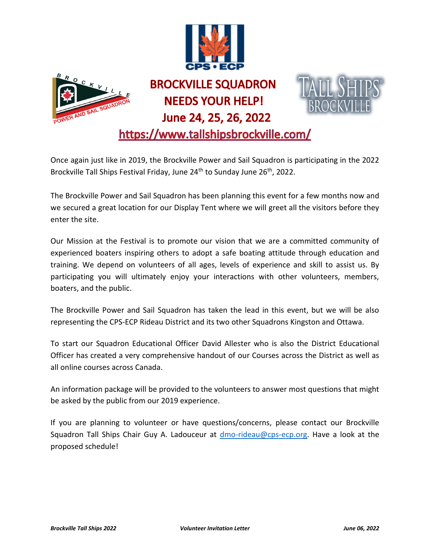



## **BROCKVILLE SQUADRON NEEDS YOUR HELP!** June 24, 25, 26, 2022



https://www.tallshipsbrockville.com/

Once again just like in 2019, the Brockville Power and Sail Squadron is participating in the 2022 Brockville Tall Ships Festival Friday, June 24<sup>th</sup> to Sunday June 26<sup>th</sup>, 2022.

The Brockville Power and Sail Squadron has been planning this event for a few months now and we secured a great location for our Display Tent where we will greet all the visitors before they enter the site.

Our Mission at the Festival is to promote our vision that we are a committed community of experienced boaters inspiring others to adopt a safe boating attitude through education and training. We depend on volunteers of all ages, levels of experience and skill to assist us. By participating you will ultimately enjoy your interactions with other volunteers, members, boaters, and the public.

The Brockville Power and Sail Squadron has taken the lead in this event, but we will be also representing the CPS-ECP Rideau District and its two other Squadrons Kingston and Ottawa.

To start our Squadron Educational Officer David Allester who is also the District Educational Officer has created a very comprehensive handout of our Courses across the District as well as all online courses across Canada.

An information package will be provided to the volunteers to answer most questions that might be asked by the public from our 2019 experience.

If you are planning to volunteer or have questions/concerns, please contact our Brockville Squadron Tall Ships Chair Guy A. Ladouceur at [dmo-rideau@cps-ecp.org.](mailto:dmo-rideau@cps-ecp.org) Have a look at the proposed schedule!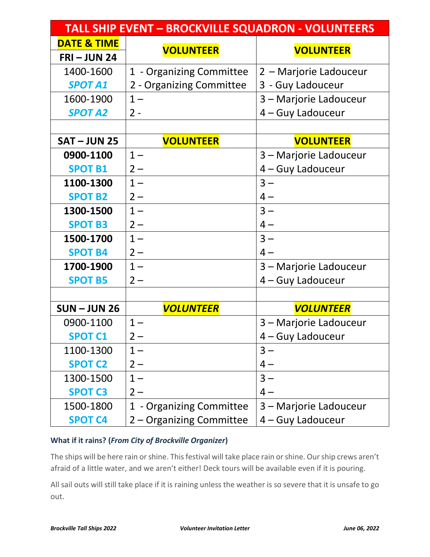| <b>TALL SHIP EVENT - BROCKVILLE SQUADRON - VOLUNTEERS</b> |                          |                        |
|-----------------------------------------------------------|--------------------------|------------------------|
| <b>DATE &amp; TIME</b>                                    | <b>VOLUNTEER</b>         | <b>VOLUNTEER</b>       |
| $FRI - JUN 24$                                            |                          |                        |
| 1400-1600                                                 | 1 - Organizing Committee | 2 – Marjorie Ladouceur |
| <b>SPOT A1</b>                                            | 2 - Organizing Committee | 3 - Guy Ladouceur      |
| 1600-1900                                                 | $1 -$                    | 3 – Marjorie Ladouceur |
| <b>SPOT A2</b>                                            | $2 -$                    | 4 – Guy Ladouceur      |
|                                                           |                          |                        |
| <b>SAT-JUN 25</b>                                         | <b>VOLUNTEER</b>         | <b>VOLUNTEER</b>       |
| 0900-1100                                                 | $1 -$                    | 3 - Marjorie Ladouceur |
| <b>SPOT B1</b>                                            | $2-$                     | 4 - Guy Ladouceur      |
| 1100-1300                                                 | $1 -$                    | $3 -$                  |
| <b>SPOT B2</b>                                            | $2 -$                    | $4-$                   |
| 1300-1500                                                 | $1 -$                    | $3 -$                  |
| <b>SPOT B3</b>                                            | $2 -$                    | $4-$                   |
| 1500-1700                                                 | $1 -$                    | $3 -$                  |
| <b>SPOT B4</b>                                            | $2 -$                    | $4-$                   |
| 1700-1900                                                 | $1 -$                    | 3 – Marjorie Ladouceur |
| <b>SPOT B5</b>                                            | $2 -$                    | 4 – Guy Ladouceur      |
|                                                           |                          |                        |
| $SUM$ – JUN 26                                            | <b>VOLUNTEER</b>         | <b>VOLUNTEER</b>       |
| 0900-1100                                                 | $1 -$                    | 3 - Marjorie Ladouceur |
| <b>SPOT C1</b>                                            | $2 -$                    | 4 - Guy Ladouceur      |
| 1100-1300                                                 | $1 -$                    | $3 -$                  |
| <b>SPOT C2</b>                                            | $2 -$                    | $4-$                   |
| 1300-1500                                                 | $1 -$                    | $3 -$                  |
| <b>SPOT C3</b>                                            | $2-$                     | $4-$                   |
| 1500-1800                                                 | 1 - Organizing Committee | 3 – Marjorie Ladouceur |
| <b>SPOT C4</b>                                            | 2 – Organizing Committee | 4 – Guy Ladouceur      |

## **What if it rains? (***From City of Brockville Organizer***)**

The ships will be here rain or shine. This festival will take place rain or shine. Our ship crews aren't afraid of a little water, and we aren't either! Deck tours will be available even if it is pouring.

All sail outs will still take place if it is raining unless the weather is so severe that it is unsafe to go out.